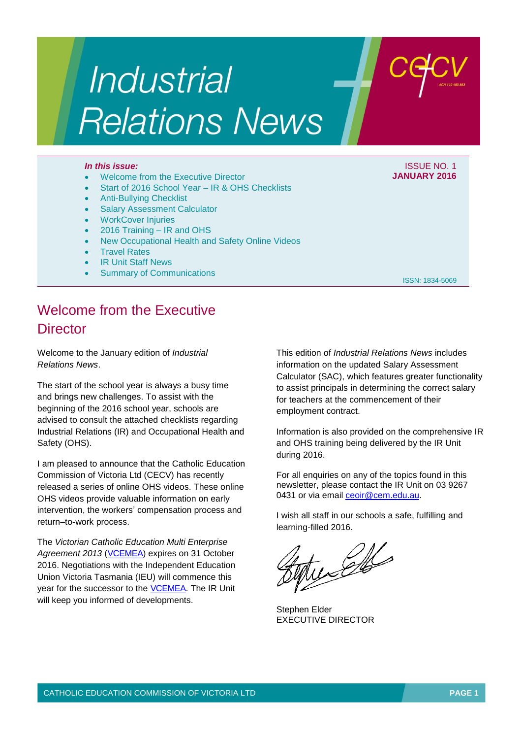# Industrial **Relations News**

#### *In this issue:* ISSUE NO. 1

- Welcome from the Executive Director
- Start of 2016 School Year IR & OHS Checklists
- Anti-Bullying Checklist
- Salary Assessment Calculator
- WorkCover Injuries
- 2016 Training IR and OHS
- New Occupational Health and Safety Online Videos
- Travel Rates
- IR Unit Staff News
- Summary of Communications

## **JANUARY 2016**

ISSN: 1834-5069

This edition of *Industrial Relations News* includes information on the updated Salary Assessment Calculator (SAC), which features greater functionality to assist principals in determining the correct salary for teachers at the commencement of their employment contract.

Information is also provided on the comprehensive IR and OHS training being delivered by the IR Unit during 2016.

For all enquiries on any of the topics found in this newsletter, please contact the IR Unit on 03 9267 0431 or via email [ceoir@cem.edu.au.](mailto:ceoir@cem.edu.au)

I wish all staff in our schools a safe, fulfilling and learning-filled 2016.

tuces

Stephen Elder EXECUTIVE DIRECTOR

## Welcome from the Executive **Director**

Welcome to the January edition of *Industrial Relations News*.

The start of the school year is always a busy time and brings new challenges. To assist with the beginning of the 2016 school year, schools are advised to consult the attached checklists regarding Industrial Relations (IR) and Occupational Health and Safety (OHS).

I am pleased to announce that the Catholic Education Commission of Victoria Ltd (CECV) has recently released a series of online OHS videos. These online OHS videos provide valuable information on early intervention, the workers' compensation process and return–to-work process.

The *Victorian Catholic Education Multi Enterprise Agreement 2013* [\(VCEMEA\)](http://www.cecv.catholic.edu.au/vcsa/Agreement_2013/VCEMEA_2013.pdf) expires on 31 October 2016. Negotiations with the Independent Education Union Victoria Tasmania (IEU) will commence this year for the successor to the [VCEMEA.](http://www.cecv.catholic.edu.au/vcsa/Agreement_2013/VCEMEA_2013.pdf) The IR Unit will keep you informed of developments.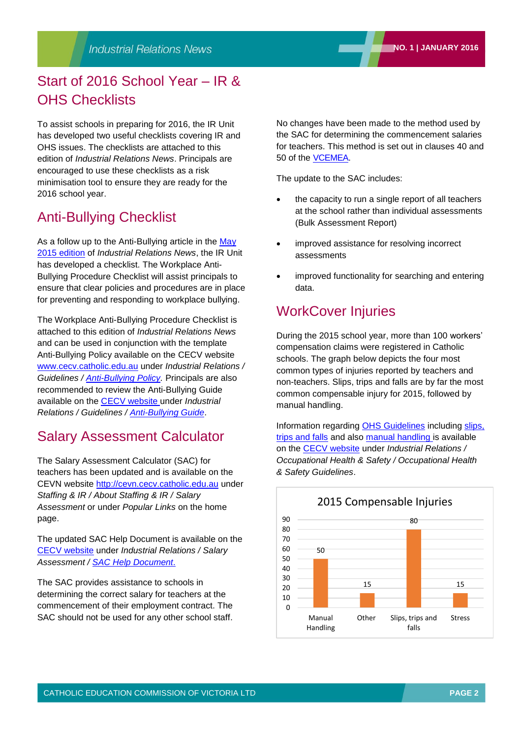## Start of 2016 School Year – IR & OHS Checklists

To assist schools in preparing for 2016, the IR Unit has developed two useful checklists covering IR and OHS issues. The checklists are attached to this edition of *Industrial Relations News*. Principals are encouraged to use these checklists as a risk minimisation tool to ensure they are ready for the 2016 school year.

## Anti-Bullying Checklist

As a follow up to the Anti-Bullying article in the May [2015 edition](http://www.cecv.catholic.edu.au/vcsa/newsletters/IR%20News,%20No.%204,%20May%202015.pdf) of *Industrial Relations News*, the IR Unit has developed a checklist. The Workplace Anti-Bullying Procedure Checklist will assist principals to ensure that clear policies and procedures are in place for preventing and responding to workplace bullying.

The Workplace Anti-Bullying Procedure Checklist is attached to this edition of *Industrial Relations News* and can be used in conjunction with the template Anti-Bullying Policy available on the CECV website [www.cecv.catholic.edu.au](http://www.cecv.catholic.edu.au/) under *Industrial Relations / Guidelines / [Anti-Bullying Policy.](http://web.cecv.catholic.edu.au/vcsa/guidelines/Anti_Bullying_Policy.doc)* Principals are also recommended to review the Anti-Bullying Guide available on the [CECV website](http://www.cecv.catholic.edu.au/default.htm) under *Industrial Relations / Guidelines / [Anti-Bullying Guide](http://www.cecv.catholic.edu.au/vcsa/guidelines/Anti_Bullying_Guide.pdf)*.

## Salary Assessment Calculator

The Salary Assessment Calculator (SAC) for teachers has been updated and is available on the CEVN website [http://cevn.cecv.catholic.edu.au](http://cevn.cecv.catholic.edu.au/) under *Staffing & IR / About Staffing & IR / Salary Assessment* or under *Popular Links* on the home page.

The updated SAC Help Document is available on the [CECV website](http://www.cecv.catholic.edu.au/default.htm) under *Industrial Relations / Salary Assessment / [SAC Help Document](http://www.cecv.catholic.edu.au/vcsa/SalAssess/sac_help.pdf)*.

The SAC provides assistance to schools in determining the correct salary for teachers at the commencement of their employment contract. The SAC should not be used for any other school staff.

No changes have been made to the method used by the SAC for determining the commencement salaries for teachers. This method is set out in clauses 40 and 50 of the [VCEMEA.](http://www.cecv.catholic.edu.au/vcsa/Agreement_2013/VCEMEA_2013.pdf)

The update to the SAC includes:

- the capacity to run a single report of all teachers at the school rather than individual assessments (Bulk Assessment Report)
- improved assistance for resolving incorrect assessments
- improved functionality for searching and entering data.

## WorkCover Injuries

During the 2015 school year, more than 100 workers' compensation claims were registered in Catholic schools. The graph below depicts the four most common types of injuries reported by teachers and non-teachers. Slips, trips and falls are by far the most common compensable injury for 2015, followed by manual handling.

Information regarding [OHS Guidelines](http://web.cecv.catholic.edu.au/frameset.htm?page=industrial) including [slips,](http://web.cecv.catholic.edu.au/frameset.htm?page=industrial)  [trips and falls](http://web.cecv.catholic.edu.au/frameset.htm?page=industrial) and also [manual handling i](http://web.cecv.catholic.edu.au/frameset.htm?page=industrial)s available on the [CECV website](http://www.cecv.catholic.edu.au/default.htm) under *Industrial Relations / Occupational Health & Safety / Occupational Health & Safety Guidelines*.

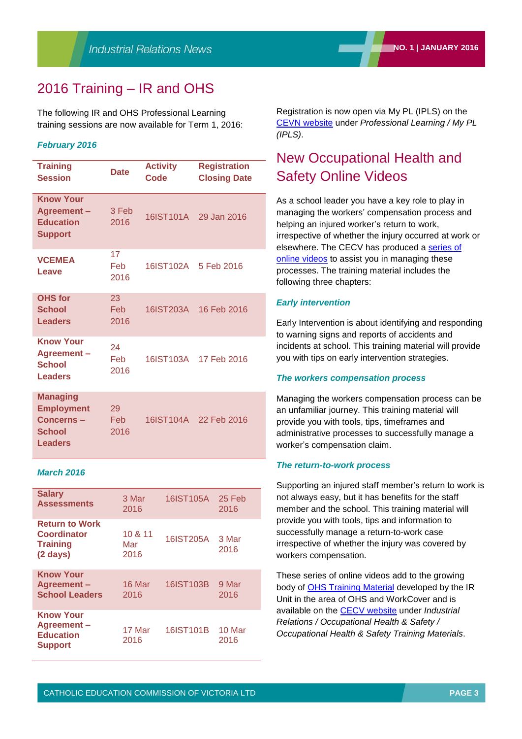## 2016 Training – IR and OHS

The following IR and OHS Professional Learning training sessions are now available for Term 1, 2016:

#### *February 2016*

| <b>Training</b><br><b>Session</b>                                                    | <b>Date</b>        | <b>Activity</b><br><b>Code</b> | <b>Registration</b><br><b>Closing Date</b> |
|--------------------------------------------------------------------------------------|--------------------|--------------------------------|--------------------------------------------|
| <b>Know Your</b><br>Agreement-<br><b>Education</b><br><b>Support</b>                 | 3 Feb<br>2016      | 16IST101A                      | 29 Jan 2016                                |
| <b>VCEMEA</b><br>Leave                                                               | 17<br>Feb<br>2016  | 16IST102A                      | 5 Feb 2016                                 |
| <b>OHS</b> for<br><b>School</b><br><b>Leaders</b>                                    | 23<br>Feb<br>2016  | 16IST203A                      | 16 Feb 2016                                |
| <b>Know Your</b><br>Agreement-<br><b>School</b><br><b>Leaders</b>                    | 24<br>Feb<br>2016  | 16IST103A                      | 17 Feb 2016                                |
| <b>Managing</b><br><b>Employment</b><br>Concerns-<br><b>School</b><br><b>Leaders</b> | 29<br>Feb.<br>2016 |                                | 16IST104A 22 Feb 2016                      |

#### *March 2016*

| <b>Salary</b><br><b>Assessments</b>                                                  | 3 Mar<br>2016          | 16IST105A | 25 Feb<br>2016 |
|--------------------------------------------------------------------------------------|------------------------|-----------|----------------|
| <b>Return to Work</b><br><b>Coordinator</b><br><b>Training</b><br>$(2 \text{ days})$ | 10 & 11<br>Mar<br>2016 | 16IST205A | 3 Mar<br>2016  |
| <b>Know Your</b><br>Agreement-<br><b>School Leaders</b>                              | 16 Mar<br>2016         | 16IST103B | 9 Mar<br>2016  |
| <b>Know Your</b><br>Agreement-<br><b>Education</b><br><b>Support</b>                 | 17 Mar<br>2016         | 16IST101B | 10 Mar<br>2016 |

Registration is now open via My PL (IPLS) on the [CEVN website](https://cevn.cecv.catholic.edu.au/secure/CEVNLogin.aspx?redirect=http://cevn.cecv.catholic.edu.au/Default.aspx) under *Professional Learning / My PL (IPLS)*.

## New Occupational Health and Safety Online Videos

As a school leader you have a key role to play in managing the workers' compensation process and helping an injured worker's return to work, irrespective of whether the injury occurred at work or elsewhere. The CECV has produced a [series of](http://www.cecv.catholic.edu.au/vcsa/ohands/ohs_in_schools.html)  [online videos](http://www.cecv.catholic.edu.au/vcsa/ohands/ohs_in_schools.html) to assist you in managing these processes. The training material includes the following three chapters:

#### *Early intervention*

Early Intervention is about identifying and responding to warning signs and reports of accidents and incidents at school. This training material will provide you with tips on early intervention strategies.

#### *The workers compensation process*

Managing the workers compensation process can be an unfamiliar journey. This training material will provide you with tools, tips, timeframes and administrative processes to successfully manage a worker's compensation claim.

#### *The return-to-work process*

Supporting an injured staff member's return to work is not always easy, but it has benefits for the staff member and the school. This training material will provide you with tools, tips and information to successfully manage a return-to-work case irrespective of whether the injury was covered by workers compensation.

These series of online videos add to the growing body of [OHS Training Material](http://www.cecv.catholic.edu.au/vcsa/ohands/ohs_in_schools.html) developed by the IR Unit in the area of OHS and WorkCover and is available on the [CECV website](http://www.cecv.catholic.edu.au/default.htm) under *Industrial Relations / Occupational Health & Safety / Occupational Health & Safety Training Materials*.